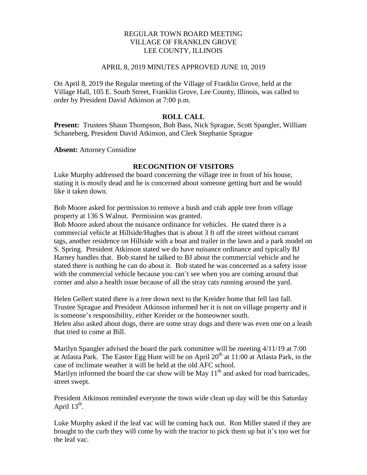## REGULAR TOWN BOARD MEETING VILLAGE OF FRANKLIN GROVE LEE COUNTY, ILLINOIS

#### APRIL 8, 2019 MINUTES APPROVED JUNE 10, 2019

On April 8, 2019 the Regular meeting of the Village of Franklin Grove, held at the Village Hall, 105 E. South Street, Franklin Grove, Lee County, Illinois, was called to order by President David Atkinson at 7:00 p.m.

# **ROLL CALL**

**Present:** Trustees Shaun Thompson, Bob Bass, Nick Sprague, Scott Spangler, William Schaneberg, President David Atkinson, and Clerk Stephanie Sprague

**Absent:** Attorney Considine

# **RECOGNITION OF VISITORS**

Luke Murphy addressed the board concerning the village tree in front of his house, stating it is mostly dead and he is concerned about someone getting hurt and he would like it taken down.

Bob Moore asked for permission to remove a bush and crab apple tree from village property at 136 S Walnut. Permission was granted.

Bob Moore asked about the nuisance ordinance for vehicles. He stated there is a commercial vehicle at Hillside/Hughes that is about 3 ft off the street without currant tags, another residence on Hillside with a boat and trailer in the lawn and a park model on S. Spring. President Atkinson stated we do have nuisance ordinance and typically BJ Harney handles that. Bob stated he talked to BJ about the commercial vehicle and he stated there is nothing he can do about it. Bob stated he was concerned as a safety issue with the commercial vehicle because you can't see when you are coming around that corner and also a health issue because of all the stray cats running around the yard.

Helen Gellert stated there is a tree down next to the Kreider home that fell last fall. Trustee Sprague and President Atkinson informed her it is not on village property and it is someone's responsibility, either Kreider or the homeowner south. Helen also asked about dogs, there are some stray dogs and there was even one on a leash that tried to come at Bill.

Marilyn Spangler advised the board the park committee will be meeting 4/11/19 at 7:00 at Atlasta Park. The Easter Egg Hunt will be on April  $20<sup>th</sup>$  at 11:00 at Atlasta Park, in the case of inclimate weather it will be held at the old AFC school. Marilyn informed the board the car show will be May  $11<sup>th</sup>$  and asked for road barricades, street swept.

President Atkinson reminded everyone the town wide clean up day will be this Saturday April  $13^{\text{th}}$ .

Luke Murphy asked if the leaf vac will be coming back out. Ron Miller stated if they are brought to the curb they will come by with the tractor to pick them up but it's too wet for the leaf vac.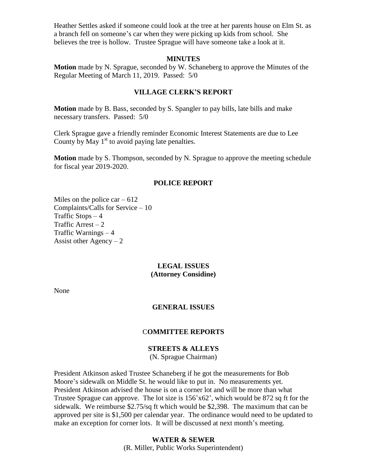Heather Settles asked if someone could look at the tree at her parents house on Elm St. as a branch fell on someone's car when they were picking up kids from school. She believes the tree is hollow. Trustee Sprague will have someone take a look at it.

#### **MINUTES**

**Motion** made by N. Sprague, seconded by W. Schaneberg to approve the Minutes of the Regular Meeting of March 11, 2019. Passed: 5/0

#### **VILLAGE CLERK'S REPORT**

**Motion** made by B. Bass, seconded by S. Spangler to pay bills, late bills and make necessary transfers. Passed: 5/0

Clerk Sprague gave a friendly reminder Economic Interest Statements are due to Lee County by May  $1<sup>st</sup>$  to avoid paying late penalties.

**Motion** made by S. Thompson, seconded by N. Sprague to approve the meeting schedule for fiscal year 2019-2020.

#### **POLICE REPORT**

Miles on the police car  $-612$ Complaints/Calls for Service – 10 Traffic Stops  $-4$ Traffic Arrest  $-2$ Traffic Warnings – 4 Assist other Agency  $-2$ 

#### **LEGAL ISSUES (Attorney Considine)**

None

#### **GENERAL ISSUES**

#### C**OMMITTEE REPORTS**

# **STREETS & ALLEYS** (N. Sprague Chairman)

President Atkinson asked Trustee Schaneberg if he got the measurements for Bob Moore's sidewalk on Middle St. he would like to put in. No measurements yet. President Atkinson advised the house is on a corner lot and will be more than what Trustee Sprague can approve. The lot size is  $156'x62'$ , which would be 872 sq ft for the sidewalk. We reimburse \$2.75/sq ft which would be \$2,398. The maximum that can be approved per site is \$1,500 per calendar year. The ordinance would need to be updated to make an exception for corner lots. It will be discussed at next month's meeting.

# **WATER & SEWER** (R. Miller, Public Works Superintendent)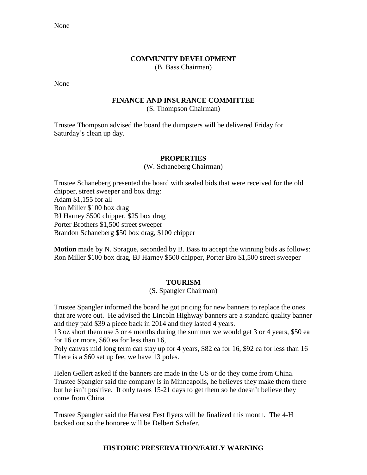None

# **COMMUNITY DEVELOPMENT**

(B. Bass Chairman)

None

# **FINANCE AND INSURANCE COMMITTEE**

(S. Thompson Chairman)

Trustee Thompson advised the board the dumpsters will be delivered Friday for Saturday's clean up day.

## **PROPERTIES**

(W. Schaneberg Chairman)

Trustee Schaneberg presented the board with sealed bids that were received for the old chipper, street sweeper and box drag: Adam \$1,155 for all Ron Miller \$100 box drag BJ Harney \$500 chipper, \$25 box drag Porter Brothers \$1,500 street sweeper Brandon Schaneberg \$50 box drag, \$100 chipper

**Motion** made by N. Sprague, seconded by B. Bass to accept the winning bids as follows: Ron Miller \$100 box drag, BJ Harney \$500 chipper, Porter Bro \$1,500 street sweeper

# **TOURISM**

## (S. Spangler Chairman)

Trustee Spangler informed the board he got pricing for new banners to replace the ones that are wore out. He advised the Lincoln Highway banners are a standard quality banner and they paid \$39 a piece back in 2014 and they lasted 4 years.

13 oz short them use 3 or 4 months during the summer we would get 3 or 4 years, \$50 ea for 16 or more, \$60 ea for less than 16,

Poly canvas mid long term can stay up for 4 years, \$82 ea for 16, \$92 ea for less than 16 There is a \$60 set up fee, we have 13 poles.

Helen Gellert asked if the banners are made in the US or do they come from China. Trustee Spangler said the company is in Minneapolis, he believes they make them there but he isn't positive. It only takes 15-21 days to get them so he doesn't believe they come from China.

Trustee Spangler said the Harvest Fest flyers will be finalized this month. The 4-H backed out so the honoree will be Delbert Schafer.

# **HISTORIC PRESERVATION/EARLY WARNING**